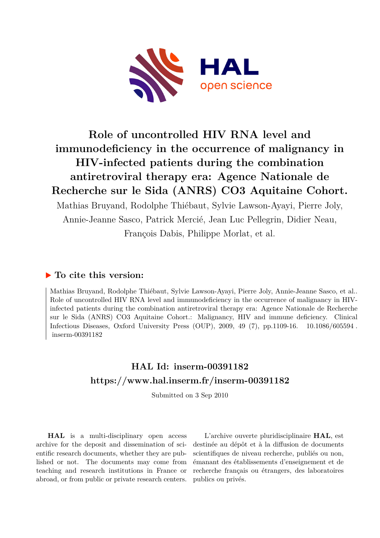

# **Role of uncontrolled HIV RNA level and immunodeficiency in the occurrence of malignancy in HIV-infected patients during the combination antiretroviral therapy era: Agence Nationale de Recherche sur le Sida (ANRS) CO3 Aquitaine Cohort.**

Mathias Bruyand, Rodolphe Thiébaut, Sylvie Lawson-Ayayi, Pierre Joly, Annie-Jeanne Sasco, Patrick Mercié, Jean Luc Pellegrin, Didier Neau, François Dabis, Philippe Morlat, et al.

## **To cite this version:**

Mathias Bruyand, Rodolphe Thiébaut, Sylvie Lawson-Ayayi, Pierre Joly, Annie-Jeanne Sasco, et al.. Role of uncontrolled HIV RNA level and immunodeficiency in the occurrence of malignancy in HIVinfected patients during the combination antiretroviral therapy era: Agence Nationale de Recherche sur le Sida (ANRS) CO3 Aquitaine Cohort.: Malignancy, HIV and immune deficiency. Clinical Infectious Diseases, Oxford University Press (OUP), 2009, 49 (7), pp. 1109-16.  $10.1086/605594$ . inserm-00391182

## **HAL Id: inserm-00391182 <https://www.hal.inserm.fr/inserm-00391182>**

Submitted on 3 Sep 2010

**HAL** is a multi-disciplinary open access archive for the deposit and dissemination of scientific research documents, whether they are published or not. The documents may come from teaching and research institutions in France or abroad, or from public or private research centers.

L'archive ouverte pluridisciplinaire **HAL**, est destinée au dépôt et à la diffusion de documents scientifiques de niveau recherche, publiés ou non, émanant des établissements d'enseignement et de recherche français ou étrangers, des laboratoires publics ou privés.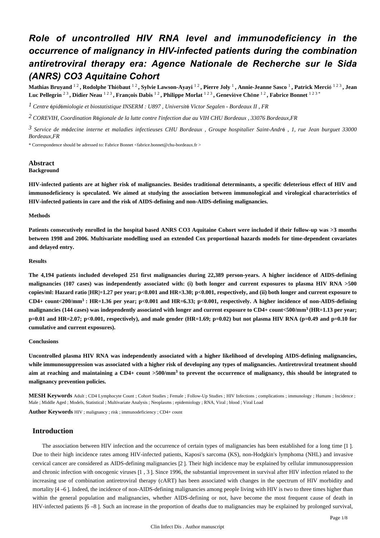## *Role of uncontrolled HIV RNA level and immunodeficiency in the occurrence of malignancy in HIV-infected patients during the combination antiretroviral therapy era: Agence Nationale de Recherche sur le Sida (ANRS) CO3 Aquitaine Cohort*

**Mathias Bruyand** 1 2 **, Rodolphe Thi**é**baut** 1 2 **, Sylvie Lawson-Ayayi** 1 2 **, Pierre Joly** <sup>1</sup> **, Annie-Jeanne Sasco** <sup>1</sup> **, Patrick Merci**é 1 2 3 **, Jean Luc Pellegrin** 2 3 **, Didier Neau** 1 2 3 **, Fran**ç**ois Dabis** 1 2 **, Philippe Morlat** 1 2 3 **, Genevi**è**ve Ch**ê**ne** 1 2 **, Fabrice Bonnet** 1 2 3 \*

<sup>1</sup> Centre épidémiologie et biostatistique INSERM : U897, Université Victor Segalen - Bordeaux II, FR

*COREVIH, Coordination R gionale de la lutte contre l infection due au VIH 2* <sup>é</sup> ' *CHU Bordeaux , 33076 Bordeaux,FR*

*Service de m decine interne et maladies infectieuses 3* <sup>é</sup> *CHU Bordeaux , Groupe hospitalier Saint-Andr*<sup>é</sup> *, 1, rue Jean burguet 33000 Bordeaux,FR*

\* Correspondence should be adressed to: Fabrice Bonnet <fabrice.bonnet@chu-bordeaux.fr >

#### **Abstract Background**

**HIV-infected patients are at higher risk of malignancies. Besides traditional determinants, a specific deleterious effect of HIV and immunodeficiency is speculated. We aimed at studying the association between immunological and virological characteristics of HIV-infected patients in care and the risk of AIDS-defining and non-AIDS-defining malignancies.**

#### **Methods**

**Patients consecutively enrolled in the hospital based ANRS CO3 Aquitaine Cohort were included if their follow-up was >3 months between 1998 and 2006. Multivariate modelling used an extended Cox proportional hazards models for time-dependent covariates and delayed entry.**

#### **Results**

**The 4,194 patients included developed 251 first malignancies during 22,389 person-years. A higher incidence of AIDS-defining malignancies (107 cases) was independently associated with: (i) both longer and current exposures to plasma HIV RNA >500 copies/ml: Hazard ratio** [**HR**]=**1.27 per year; p<0.001 and HR**=**3.30; p<0.001, respectively, and (ii) both longer and current exposure to**  $CD4+$  count $\lt 200/\text{mm}^3$ : HR=1.36 per year; p $\lt 0.001$  and HR=6.33; p $\lt 0.001$ , respectively. A higher incidence of non-AIDS-defining malignancies (144 cases) was independently associated with longer and current exposure to CD4+ count<500/mm<sup>3</sup> (HR=1.13 per year; **p**=**0.01 and HR**=**2.07; p<0.001, respectively), and male gender (HR**=**1.69; p**=**0.02) but not plasma HIV RNA (p**=**0.49 and p**=**0.10 for cumulative and current exposures).**

#### **Conclusions**

**Uncontrolled plasma HIV RNA was independently associated with a higher likelihood of developing AIDS-defining malignancies, while immunosuppression was associated with a higher risk of developing any types of malignancies. Antiretroviral treatment should aim at reaching and maintaining a CD4**+ **count >500/mm to prevent the occurrence of malignancy, this should be integrated to <sup>3</sup> malignancy prevention policies.**

**MESH Keywords** Adult ; CD4 Lymphocyte Count ; Cohort Studies ; Female ; Follow-Up Studies ; HIV Infections ; complications ; immunology ; Humans ; Incidence ; Male ; Middle Aged ; Models, Statistical ; Multivariate Analysis ; Neoplasms ; epidemiology ; RNA, Viral ; blood ; Viral Load

**Author Keywords** HIV ; malignancy ; risk ; immunodeficiency ; CD4+ count

## **Introduction**

The association between HIV infection and the occurrence of certain types of malignancies has been established for a long time [1 ]. Due to their high incidence rates among HIV-infected patients, Kaposi's sarcoma (KS), non-Hodgkin's lymphoma (NHL) and invasive cervical cancer are considered as AIDS-defining malignancies [2 ]. Their high incidence may be explained by cellular immunosuppression and chronic infection with oncogenic viruses [1 , 3 ]. Since 1996, the substantial improvement in survival after HIV infection related to the increasing use of combination antiretroviral therapy (cART) has been associated with changes in the spectrum of HIV morbidity and mortality [4 –6 ]. Indeed, the incidence of non-AIDS-defining malignancies among people living with HIV is two to three times higher than within the general population and malignancies, whether AIDS-defining or not, have become the most frequent cause of death in HIV-infected patients [6 –8 ]. Such an increase in the proportion of deaths due to malignancies may be explained by prolonged survival,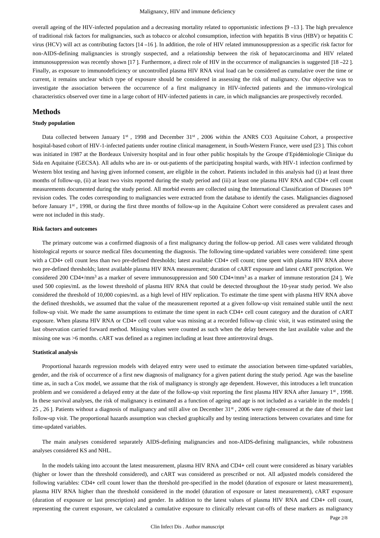overall ageing of the HIV-infected population and a decreasing mortality related to opportunistic infections [9 –13 ]. The high prevalence of traditional risk factors for malignancies, such as tobacco or alcohol consumption, infection with hepatitis B virus (HBV) or hepatitis C virus (HCV) will act as contributing factors [14 –16 ]. In addition, the role of HIV related immunosuppression as a specific risk factor for non-AIDS-defining malignancies is strongly suspected, and a relationship between the risk of hepatocarcinoma and HIV related immunosuppression was recently shown [17]. Furthermore, a direct role of HIV in the occurrence of malignancies is suggested [18 –22]. Finally, as exposure to immunodeficiency or uncontrolled plasma HIV RNA viral load can be considered as cumulative over the time or current, it remains unclear which type of exposure should be considered in assessing the risk of malignancy. Our objective was to investigate the association between the occurrence of a first malignancy in HIV-infected patients and the immuno-virological characteristics observed over time in a large cohort of HIV-infected patients in care, in which malignancies are prospectively recorded.

#### **Methods**

#### **Study population**

Data collected between January 1<sup>st</sup>, 1998 and December  $31<sup>st</sup>$ , 2006 within the ANRS CO3 Aquitaine Cohort, a prospective hospital-based cohort of HIV-1-infected patients under routine clinical management, in South-Western France, were used [23 ]. This cohort was initiated in 1987 at the Bordeaux University hospital and in four other public hospitals by the Groupe d'Epidémiologie Clinique du Sida en Aquitaine (GECSA). All adults who are in- or out-patients of the participating hospital wards, with HIV-1 infection confirmed by Western blot testing and having given informed consent, are eligible in the cohort. Patients included in this analysis had (i) at least three months of follow-up, (ii) at least two visits reported during the study period and (iii) at least one plasma HIV RNA and CD4+ cell count measurements documented during the study period. All morbid events are collected using the International Classification of Diseases 10<sup>th</sup> revision codes. The codes corresponding to malignancies were extracted from the database to identify the cases. Malignancies diagnosed before January 1<sup>st</sup>, 1998, or during the first three months of follow-up in the Aquitaine Cohort were considered as prevalent cases and were not included in this study.

#### **Risk factors and outcomes**

The primary outcome was a confirmed diagnosis of a first malignancy during the follow-up period. All cases were validated through histological reports or source medical files documenting the diagnosis. The following time-updated variables were considered: time spent with a CD4+ cell count less than two pre-defined thresholds; latest available CD4+ cell count; time spent with plasma HIV RNA above two pre-defined thresholds; latest available plasma HIV RNA measurement; duration of cART exposure and latest cART prescription. We considered 200 CD4+/mm<sup>3</sup> as a marker of severe immunosuppression and 500 CD4+/mm<sup>3</sup> as a marker of immune restoration [24 ]. We used 500 copies/mL as the lowest threshold of plasma HIV RNA that could be detected throughout the 10-year study period. We also considered the threshold of 10,000 copies/mL as a high level of HIV replication. To estimate the time spent with plasma HIV RNA above the defined thresholds, we assumed that the value of the measurement reported at a given follow-up visit remained stable until the next follow-up visit. We made the same assumptions to estimate the time spent in each CD4+ cell count category and the duration of cART exposure. When plasma HIV RNA or CD4+ cell count value was missing at a recorded follow-up clinic visit, it was estimated using the last observation carried forward method. Missing values were counted as such when the delay between the last available value and the missing one was >6 months. cART was defined as a regimen including at least three antiretroviral drugs.

#### **Statistical analysis**

Proportional hazards regression models with delayed entry were used to estimate the association between time-updated variables, gender, and the risk of occurrence of a first new diagnosis of malignancy for a given patient during the study period. Age was the baseline time as, in such a Cox model, we assume that the risk of malignancy is strongly age dependent. However, this introduces a left truncation problem and we considered a delayed entry at the date of the follow-up visit reporting the first plasma HIV RNA after January  $1<sup>st</sup>$ , 1998. In these survival analyses, the risk of malignancy is estimated as a function of ageing and age is not included as a variable in the models [ 25, 26 ]. Patients without a diagnosis of malignancy and still alive on December 31<sup>st</sup>, 2006 were right-censored at the date of their last follow-up visit. The proportional hazards assumption was checked graphically and by testing interactions between covariates and time for time-updated variables.

The main analyses considered separately AIDS-defining malignancies and non-AIDS-defining malignancies, while robustness analyses considered KS and NHL.

In the models taking into account the latest measurement, plasma HIV RNA and CD4+ cell count were considered as binary variables (higher or lower than the threshold considered), and cART was considered as prescribed or not. All adjusted models considered the following variables: CD4+ cell count lower than the threshold pre-specified in the model (duration of exposure or latest measurement), plasma HIV RNA higher than the threshold considered in the model (duration of exposure or latest measurement), cART exposure (duration of exposure or last prescription) and gender. In addition to the latest values of plasma HIV RNA and CD4+ cell count, representing the current exposure, we calculated a cumulative exposure to clinically relevant cut-offs of these markers as malignancy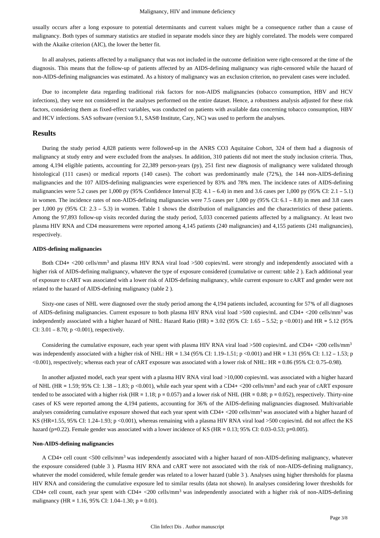usually occurs after a long exposure to potential determinants and current values might be a consequence rather than a cause of malignancy. Both types of summary statistics are studied in separate models since they are highly correlated. The models were compared with the Akaike criterion (AIC), the lower the better fit.

In all analyses, patients affected by a malignancy that was not included in the outcome definition were right-censored at the time of the diagnosis. This means that the follow-up of patients affected by an AIDS-defining malignancy was right-censored while the hazard of non-AIDS-defining malignancies was estimated. As a history of malignancy was an exclusion criterion, no prevalent cases were included.

Due to incomplete data regarding traditional risk factors for non-AIDS malignancies (tobacco consumption, HBV and HCV infections), they were not considered in the analyses performed on the entire dataset. Hence, a robustness analysis adjusted for these risk factors, considering them as fixed-effect variables, was conducted on patients with available data concerning tobacco consumption, HBV and HCV infections. SAS software (version 9.1, SAS® Institute, Cary, NC) was used to perform the analyses.

## **Results**

During the study period 4,828 patients were followed-up in the ANRS CO3 Aquitaine Cohort, 324 of them had a diagnosis of malignancy at study entry and were excluded from the analyses. In addition, 310 patients did not meet the study inclusion criteria. Thus, among 4,194 eligible patients, accounting for 22,389 person-years (py), 251 first new diagnosis of malignancy were validated through histological (111 cases) or medical reports (140 cases). The cohort was predominantly male (72%), the 144 non-AIDS-defining malignancies and the 107 AIDS-defining malignancies were experienced by 83% and 78% men. The incidence rates of AIDS-defining malignancies were 5.2 cases per 1,000 py (95% Confidence Interval [CI]: 4.1 – 6.4) in men and 3.6 cases per 1,000 py (95% CI: 2.1 – 5.1) in women. The incidence rates of non-AIDS-defining malignancies were 7.5 cases per 1,000 py (95% CI: 6.1 – 8.8) in men and 3.8 cases per 1,000 py (95% CI: 2.3 – 5.3) in women. Table 1 shows the distribution of malignancies and the characteristics of these patients. Among the 97,893 follow-up visits recorded during the study period, 5,033 concerned patients affected by a malignancy. At least two plasma HIV RNA and CD4 measuremens were reported among 4,145 patients (240 malignancies) and 4,155 patients (241 malignancies), respectively.

#### **AIDS-defining malignancies**

Both CD4+  $\lt$ 200 cells/mm<sup>3</sup> and plasma HIV RNA viral load  $\gt$ 500 copies/mL were strongly and independently associated with a higher risk of AIDS-defining malignancy, whatever the type of exposure considered (cumulative or current: table 2 ). Each additional year of exposure to cART was associated with a lower risk of AIDS-defining malignancy, while current exposure to cART and gender were not related to the hazard of AIDS-defining malignancy (table 2 ).

Sixty-one cases of NHL were diagnosed over the study period among the 4,194 patients included, accounting for 57% of all diagnoses of AIDS-defining malignancies. Current exposure to both plasma HIV RNA viral load >500 copies/mL and CD4+ <200 cells/mm<sup>3</sup> was independently associated with a higher hazard of NHL: Hazard Ratio (HR) =  $3.02$  (95% CI:  $1.65 - 5.52$ ; p <0.001) and HR =  $5.12$  (95% CI:  $3.01 - 8.70$ ; p < 0.001), respectively.

Considering the cumulative exposure, each year spent with plasma HIV RNA viral load >500 copies/mL and CD4+ <200 cells/mm<sup>3</sup> was independently associated with a higher risk of NHL: HR = 1.34 (95% CI: 1.19–1.51; p <0.001) and HR = 1.31 (95% CI: 1.12 – 1.53; p <0.001), respectively; whereas each year of cART exposure was associated with a lower risk of NHL: HR = 0.86 (95% CI: 0.75–0.98).

In another adjusted model, each year spent with a plasma HIV RNA viral load >10,000 copies/mL was associated with a higher hazard of NHL (HR = 1.59; 95% CI: 1.38 – 1.83; p < 0.001), while each year spent with a CD4+ < 200 cells/mm<sup>3</sup> and each year of cART exposure tended to be associated with a higher risk (HR = 1.18; p = 0.057) and a lower risk of NHL (HR = 0.88; p = 0.052), respectively. Thirty-nine cases of KS were reported among the 4,194 patients, accounting for 36% of the AIDS-defining malignancies diagnosed. Multivariable analyses considering cumulative exposure showed that each year spent with  $CD4+  $200$  cells/mm<sup>3</sup> was associated with a higher hazard of$ KS (HR=1.55, 95% CI: 1.24–1.93; p <0.001), whereas remaining with a plasma HIV RNA viral load >500 copies/mL did not affect the KS hazard (p=0.22). Female gender was associated with a lower incidence of KS (HR = 0.13; 95% CI: 0.03–0.53; p=0.005).

#### **Non-AIDS-defining malignancies**

A CD4+ cell count <500 cells/mm<sup>3</sup> was independently associated with a higher hazard of non-AIDS-defining malignancy, whatever the exposure considered (table 3 ). Plasma HIV RNA and cART were not associated with the risk of non-AIDS-defining malignancy, whatever the model considered, while female gender was related to a lower hazard (table 3 ). Analyses using higher thresholds for plasma HIV RNA and considering the cumulative exposure led to similar results (data not shown). In analyses considering lower thresholds for CD4+ cell count, each year spent with CD4+ <200 cells/mm<sup>3</sup> was independently associated with a higher risk of non-AIDS-defining malignancy (HR = 1.16, 95% CI: 1.04–1.30; p = 0.01).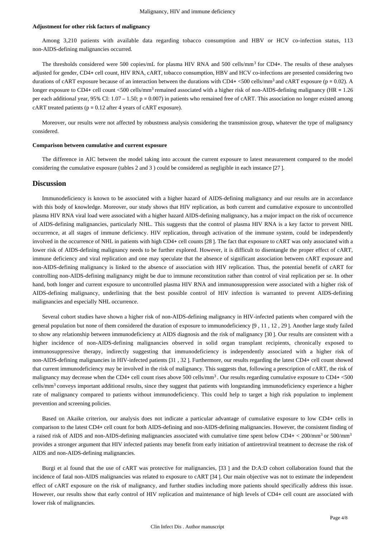#### **Adjustment for other risk factors of malignancy**

Among 3,210 patients with available data regarding tobacco consumption and HBV or HCV co-infection status, 113 non-AIDS-defining malignancies occurred.

The thresholds considered were 500 copies/mL for plasma HIV RNA and 500 cells/mm<sup>3</sup> for CD4+. The results of these analyses adjusted for gender, CD4+ cell count, HIV RNA, cART, tobacco consumption, HBV and HCV co-infections are presented considering two durations of cART exposure because of an interaction between the durations with CD4+  $<$ 500 cells/mm<sup>3</sup> and cART exposure ( $p = 0.02$ ). A longer exposure to CD4+ cell count <500 cells/mm<sup>3</sup> remained associated with a higher risk of non-AIDS-defining malignancy (HR =  $1.26$ per each additional year, 95% CI: 1.07 – 1.50;  $p = 0.007$ ) in patients who remained free of cART. This association no longer existed among cART treated patients ( $p = 0.12$  after 4 years of cART exposure).

Moreover, our results were not affected by robustness analysis considering the transmission group, whatever the type of malignancy considered.

#### **Comparison between cumulative and current exposure**

The difference in AIC between the model taking into account the current exposure to latest measurement compared to the model considering the cumulative exposure (tables 2 and 3 ) could be considered as negligible in each instance [27 ].

#### **Discussion**

Immunodeficiency is known to be associated with a higher hazard of AIDS-defining malignancy and our results are in accordance with this body of knowledge. Moreover, our study shows that HIV replication, as both current and cumulative exposure to uncontrolled plasma HIV RNA viral load were associated with a higher hazard AIDS-defining malignancy, has a major impact on the risk of occurrence of AIDS-defining malignancies, particularly NHL. This suggests that the control of plasma HIV RNA is a key factor to prevent NHL occurrence, at all stages of immune deficiency. HIV replication, through activation of the immune system, could be independently involved in the occurrence of NHL in patients with high CD4+ cell counts [28 ]. The fact that exposure to cART was only associated with a lower risk of AIDS-defining malignancy needs to be further explored. However, it is difficult to disentangle the proper effect of cART, immune deficiency and viral replication and one may speculate that the absence of significant association between cART exposure and non-AIDS-defining malignancy is linked to the absence of association with HIV replication. Thus, the potential benefit of cART for controlling non-AIDS-defining malignancy might be due to immune reconstitution rather than control of viral replication per se. In other hand, both longer and current exposure to uncontrolled plasma HIV RNA and immunosuppression were associated with a higher risk of AIDS-defining malignancy, underlining that the best possible control of HIV infection is warranted to prevent AIDS-defining malignancies and especially NHL occurrence.

Several cohort studies have shown a higher risk of non-AIDS-defining malignancy in HIV-infected patients when compared with the general population but none of them considered the duration of exposure to immunodeficiency [9 , 11 , 12 , 29 ]. Another large study failed to show any relationship between immunodeficiency at AIDS diagnosis and the risk of malignancy [30 ]. Our results are consistent with a higher incidence of non-AIDS-defining malignancies observed in solid organ transplant recipients, chronically exposed to immunosuppressive therapy, indirectly suggesting that immunodeficiency is independently associated with a higher risk of non-AIDS-defining malignancies in HIV-infected patients [31 , 32 ]. Furthermore, our results regarding the latest CD4+ cell count showed that current immunodeficiency may be involved in the risk of malignancy. This suggests that, following a prescription of cART, the risk of malignancy may decrease when the CD4+ cell count rises above 500 cells/mm<sup>3</sup>. Our results regarding cumulative exposure to CD4+ <500 cells/mm<sup>3</sup> conveys important additional results, since they suggest that patients with longstanding immunodeficiency experience a higher rate of malignancy compared to patients without immunodeficiency. This could help to target a high risk population to implement prevention and screening policies.

Based on Akaike criterion, our analysis does not indicate a particular advantage of cumulative exposure to low CD4+ cells in comparison to the latest CD4+ cell count for both AIDS-defining and non-AIDS-defining malignancies. However, the consistent finding of a raised risk of AIDS and non-AIDS-defining malignancies associated with cumulative time spent below CD4+ < 200/mm3 or 500/mm<sup>3</sup> provides a stronger argument that HIV infected patients may benefit from early initiation of antiretroviral treatment to decrease the risk of AIDS and non-AIDS-defining malignancies.

Burgi et al found that the use of cART was protective for malignancies, [33 ] and the D:A:D cohort collaboration found that the incidence of fatal non-AIDS malignancies was related to exposure to cART [34 ]. Our main objective was not to estimate the independent effect of cART exposure on the risk of malignancy, and further studies including more patients should specifically address this issue. However, our results show that early control of HIV replication and maintenance of high levels of CD4+ cell count are associated with lower risk of malignancies.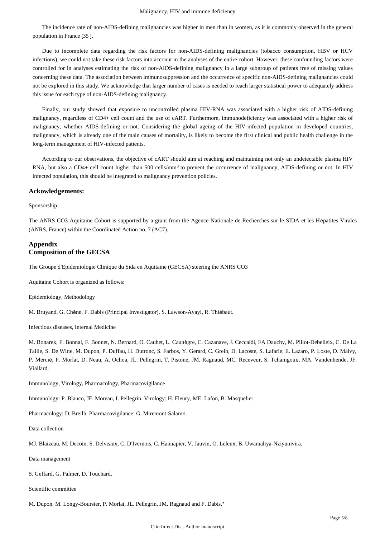#### Malignancy, HIV and immune deficiency

The incidence rate of non-AIDS-defining malignancies was higher in men than in women, as it is commonly observed in the general population in France [35 ].

Due to incomplete data regarding the risk factors for non-AIDS-defining malignancies (tobacco consumption, HBV or HCV infections), we could not take these risk factors into account in the analyses of the entire cohort. However, these confounding factors were controlled for in analyses estimating the risk of non-AIDS-defining malignancy in a large subgroup of patients free of missing values concerning these data. The association between immunosuppression and the occurrence of specific non-AIDS-defining malignancies could not be explored in this study. We acknowledge that larger number of cases is needed to reach larger statistical power to adequately address this issue for each type of non-AIDS-defining malignancy.

Finally, our study showed that exposure to uncontrolled plasma HIV-RNA was associated with a higher risk of AIDS-defining malignancy, regardless of CD4+ cell count and the use of cART. Furthermore, immunodeficiency was associated with a higher risk of malignancy, whether AIDS-defining or not. Considering the global ageing of the HIV-infected population in developed countries, malignancy, which is already one of the main causes of mortality, is likely to become the first clinical and public health challenge in the long-term management of HIV-infected patients.

According to our observations, the objective of cART should aim at reaching and maintaining not only an undetectable plasma HIV RNA, but also a CD4+ cell count higher than 500 cells/mm<sup>3</sup> to prevent the occurrence of malignancy, AIDS-defining or not. In HIV infected population, this should be integrated to malignancy prevention policies.

#### **Ackowledgements:**

Sponsorship:

The ANRS CO3 Aquitaine Cohort is supported by a grant from the Agence Nationale de Recherches sur le SIDA et les Hépatites Virales (ANRS, France) within the Coordinated Action no. 7 (AC7).

## **Appendix Composition of the GECSA**

The Groupe d'Epidemiologie Clinique du Sida en Aquitaine (GECSA) steering the ANRS CO3

Aquitaine Cohort is organized as follows:

Epidemiology, Methodology

M. Bruyand, G. Chêne, F. Dabis (Principal Investigator), S. Lawson-Ayayi, R. Thiébaut.

Infectious diseases, Internal Medicine

M. Bonarek, F. Bonnal, F. Bonnet, N. Bernard, O. Caubet, L. Caunègre, C. Cazanave, J. Ceccaldi, FA Dauchy, M. Pillot-Debelleix, C. De La Taille, S. De Witte, M. Dupon, P. Duffau, H. Dutronc, S. Farbos, Y. Gerard, C. Greib, D. Lacoste, S. Lafarie, E. Lazaro, P. Loste, D. Malvy, P. Mercié, P. Morlat, D. Neau, A. Ochoa, JL. Pellegrin, T. Pistone, JM. Ragnaud, MC. Receveur, S. Tchamgoué, MA. Vandenhende, JF. Viallard.

Immunology, Virology, Pharmacology, Pharmacovigilance

Immunology: P. Blanco, JF. Moreau, I. Pellegrin. Virology: H. Fleury, ME. Lafon, B. Masquelier.

Pharmacology: D. Breilh. Pharmacovigilance: G. Miremont-Salamé.

Data collection

MJ. Blaizeau, M. Decoin, S. Delveaux, C. D'Ivernois, C. Hannapier, V. Jauvin, O. Leleux, B. Uwamaliya-Nziyumvira.

Data management

S. Geffard, G. Palmer, D. Touchard.

Scientific committee

M. Dupon, M. Longy-Boursier, P. Morlat, JL. Pellegrin, JM. Ragnaud and F. Dabis.\*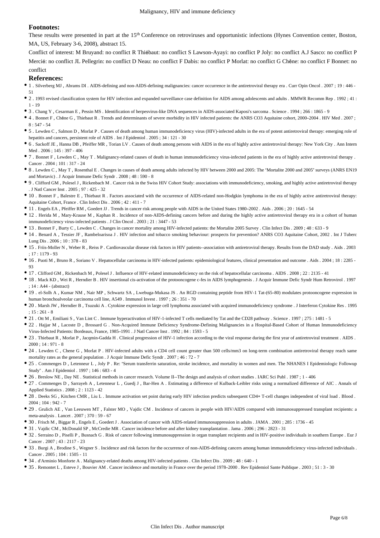### **Footnotes:**

These results were presented in part at the 15<sup>th</sup> Conference on retroviruses and opportunistic infections (Hynes Convention center, Boston, MA, US, February 3-6, 2008), abstract 15.

Conflict of interest: M Bruyand: no conflict R Thiébaut: no conflict S Lawson-Ayayi: no conflict P Joly: no conflict A.J Sasco: no conflict P Mercié: no conflict JL Pellegrin: no conflict D Neau: no conflict F Dabis: no conflict P Morlat: no conflict G Chêne: no conflict F Bonnet: no conflict

#### **References:**

- 1 . Silverberg MJ , Abrams DI . AIDS-defining and non-AIDS-defining malignancies: cancer occurrence in the antiretroviral therapy era . Curr Opin Oncol . 2007 ; 19 : 446 51
- 2 . 1993 revised classification system for HIV infection and expanded surveillance case definition for AIDS among adolescents and adults . MMWR Recomm Rep . 1992 ; 41 : 1 - 19
- 3 . Chang Y , Cesarman E , Pessin MS . Identification of herpesvirus-like DNA sequences in AIDS-associated Kaposi's sarcoma . Science . 1994 ; 266 : 1865 9
- 4 . Bonnet F , Chêne G , Thiebaut R . Trends and determinants of severe morbidity in HIV infected patients: the ANRS CO3 Aquitaine cohort, 2000–2004 . HIV Med . 2007 ; 8 : 547 - 54
- 5 . Lewden C , Salmon D , Morlat P . Causes of death among human immunodeficiency virus (HIV)-infected adults in the era of potent antiretroviral therapy: emerging role of hepatitis and cancers, persistent role of AIDS . Int J Epidemiol . 2005 ; 34 : 121 - 30
- 6 . Sackoff JE , Hanna DB , Pfeiffer MR , Torian LV . Causes of death among persons with AIDS in the era of highly active antiretroviral therapy: New York City . Ann Intern Med . 2006 ; 145 : 397 - 406
- 7 . Bonnet F , Lewden C , May T . Malignancy-related causes of death in human immunodeficiency virus-infected patients in the era of highly active antiretroviral therapy . Cancer . 2004 ; 101 : 317 - 24
- 8 . Lewden C , May T , Rosenthal E . Changes in causes of death among adults infected by HIV between 2000 and 2005: The "Mortalite 2000 and 2005" surveys (ANRS EN19 and Mortavic) . J Acquir Immune Defic Syndr . 2008 ; 48 : 590 - 8
- 9 . Clifford GM , Polesel J , Rickenbach M . Cancer risk in the Swiss HIV Cohort Study: associations with immunodeficiency, smoking, and highly active antiretroviral therapy . J Natl Cancer Inst . 2005 ; 97 : 425 - 32
- 10 . Bonnet F , Balestre E , Thiebaut R . Factors associated with the occurrence of AIDS-related non-Hodgkin lymphoma in the era of highly active antiretroviral therapy: Aquitaine Cohort, France . Clin Infect Dis . 2006 ; 42 : 411 - 7
- 11 . Engels EA , Pfeiffer RM , Goedert JJ . Trends in cancer risk among people with AIDS in the United States 1980–2002 . Aids . 2006 ; 20 : 1645 54
- 12 . Herida M , Mary-Krause M , Kaphan R . Incidence of non-AIDS-defining cancers before and during the highly active antiretroviral therapy era in a cohort of human immunodeficiency virus-infected patients . J Clin Oncol . 2003 ; 21 : 3447 - 53
- 13 . Bonnet F , Burty C , Lewden C . Changes in cancer mortality among HIV-infected patients: the Mortalite 2005 Survey . Clin Infect Dis . 2009 ; 48 : 633 9
- 14 . Benard A , Tessier JF , Rambeloarisoa J . HIV infection and tobacco smoking behaviour: prospects for prevention? ANRS CO3 Aquitaine Cohort, 2002 . Int J Tuberc Lung Dis . 2006 ; 10 : 378 - 83
- 15 . Friis-Moller N , Weber R , Reiss P . Cardiovascular disease risk factors in HIV patients--association with antiretroviral therapy. Results from the DAD study . Aids . 2003 ; 17 : 1179 - 93
- 16 . Puoti M , Bruno R , Soriano V . Hepatocellular carcinoma in HIV-infected patients: epidemiological features, clinical presentation and outcome . Aids . 2004 ; 18 : 2285 93
- 17 . Clifford GM , Rickenbach M , Polesel J . Influence of HIV-related immunodeficiency on the risk of hepatocellular carcinoma . AIDS . 2008 ; 22 : 2135 41
- 18 . Mack KD , Wei R , Herndier B . HIV insertional cis-activation of the protooncogene c-fes in AIDS lymphogenesis . J Acquir Immune Defic Syndr Hum Retrovirol . 1997 ; 14 : A44 - (abstract)
- 19 . el-Solh A , Kumar NM , Nair MP , Schwartz SA , Lwebuga-Mukasa JS . An RGD containing peptide from HIV-1 Tat-(65–80) modulates protooncogene expression in human bronchoalveolar carcinoma cell line, A549 . Immunol Invest . 1997 ; 26 : 351 - 70
- 20 . Marsh JW , Herndier B , Tsuzuki A . Cytokine expression in large cell lymphoma associated with acquired immunodeficiency syndrome . J Interferon Cytokine Res . 1995  $: 15 : 261 - 8$
- 21 . Ott M , Emiliani S , Van Lint C . Immune hyperactivation of HIV-1-infected T cells mediated by Tat and the CD28 pathway . Science . 1997 ; 275 : 1481 5
- 22 . Hajjar M , Lacoste D , Brossard G . Non-Acquired Immune Deficiency Syndrome-Defining Malignancies in a Hospital-Based Cohort of Human Immunodeficiency Virus-Infected Patients: Bordeaux, France, 1985–1991 . J Natl Cancer Inst . 1992 ; 84 : 1593 - 5
- 23 . Thiebaut R , Morlat P , Jacqmin-Gadda H . Clinical progression of HIV-1 infection according to the viral response during the first year of antiretroviral treatment . AIDS .  $2000 : 14 : 971 - 8$
- 24 . Lewden C , Chene G , Morlat P . HIV-infected adults with a CD4 cell count greater than 500 cells/mm3 on long-term combination antiretroviral therapy reach same mortality rates as the general population . J Acquir Immune Defic Syndr . 2007 ; 46 : 72 - 7
- 25 . Commenges D , Letenneur L , Joly P . Re: "Serum transferrin saturation, stroke incidence, and mortality in women and men. The NHANES I Epidemiologic Followup Study" . Am J Epidemiol . 1997 ; 146 : 683 - 4
- 26 . Breslow NE , Day NE . Statistical methods in cancer research. Volume II--The design and analysis of cohort studies . IARC Sci Publ . 1987 ; 1 406
- 27 . Commenges D , Sarrayeh A , Letenneur L , Guedj J , Bar-Hen A . Estimating a difference of Kulback-Leibler risks using a normalized difference of AIC . Annals of Applied Statistics . 2008 ; 2 : 1123 - 42
- 28 . Deeks SG , Kitchen CMR , Liu L . Immune activation set point during early HIV infection predicts subsequent CD4+ T-cell changes independent of viral load . Blood . 2004 ; 104 : 942 - 7
- 29 . Grulich AE , Van Leeuwen MT , Falster MO , Vajdic CM . Incidence of cancers in people with HIV/AIDS compared with immunosuppressed transplant recipients: a meta-analysis . Lancet . 2007 ; 370 : 59 - 67
- 30 . Frisch M , Biggar R , Engels E , Goedert J . Association of cancer with AIDS-related immunosuppression in adults . JAMA . 2001 ; 285 : 1736 45
- 31 . Vajdic CM , McDonald SP , McCredie MR . Cancer incidence before and after kidney transplantation . Jama . 2006 ; 296 : 2823 31
- 32 . Serraino D , Piselli P , Busnach G . Risk of cancer following immunosuppression in organ transplant recipients and in HIV-positive individuals in southern Europe . Eur J Cancer . 2007 ; 43 : 2117 - 23
- 33 . Burgi A, Brodine S, Wegner S. Incidence and risk factors for the occurrence of non-AIDS-defining cancers among human immunodeficiency virus-infected individuals . Cancer . 2005 ; 104 : 1505 - 11
- 34 . d'Arminio Monforte A . Malignancy-related deaths among HIV-infected patients . Clin Infect Dis . 2009 ; 48 : 640 1
- 35 . Remontet L , Esteve J , Bouvier AM . Cancer incidence and mortality in France over the period 1978–2000 . Rev Epidemiol Sante Publique . 2003 ; 51 : 3 30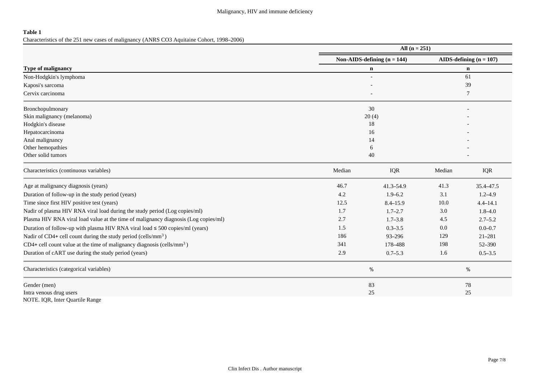## **Table 1**

Characteristics of the 251 new cases of malignancy (ANRS CO3 Aquitaine Cohort, 1998–2006)

|                                                                                      | All $(n = 251)$               |                           |        |              |  |  |
|--------------------------------------------------------------------------------------|-------------------------------|---------------------------|--------|--------------|--|--|
|                                                                                      | Non-AIDS-defining $(n = 144)$ | AIDS-defining $(n = 107)$ |        |              |  |  |
| Type of malignancy                                                                   |                               | $\mathbf n$               |        |              |  |  |
| Non-Hodgkin's lymphoma                                                               |                               |                           |        |              |  |  |
| Kaposi's sarcoma                                                                     |                               | 39                        |        |              |  |  |
| Cervix carcinoma                                                                     |                               |                           |        |              |  |  |
| Bronchopulmonary                                                                     |                               | 30                        |        |              |  |  |
| Skin malignancy (melanoma)                                                           |                               | 20(4)                     |        |              |  |  |
| Hodgkin's disease                                                                    |                               | 18                        |        |              |  |  |
| Hepatocarcinoma                                                                      |                               | 16                        |        |              |  |  |
| Anal malignancy                                                                      |                               | 14                        |        |              |  |  |
| Other hemopathies                                                                    |                               | 6                         |        |              |  |  |
| Other solid tumors                                                                   |                               | 40                        |        |              |  |  |
| Characteristics (continuous variables)                                               | Median                        | <b>IQR</b>                | Median | IQR          |  |  |
| Age at malignancy diagnosis (years)                                                  | 46.7                          | $41.3 - 54.9$             | 41.3   | 35.4-47.5    |  |  |
| Duration of follow-up in the study period (years)                                    | 4.2                           | $1.9 - 6.2$               | 3.1    | $1.2 - 4.9$  |  |  |
| Time since first HIV positive test (years)                                           | 12.5                          | $8.4 - 15.9$              | 10.0   | $4.4 - 14.1$ |  |  |
| Nadir of plasma HIV RNA viral load during the study period (Log copies/ml)           | 1.7                           | $1.7 - 2.7$               | 3.0    | $1.8 - 4.0$  |  |  |
| Plasma HIV RNA viral load value at the time of malignancy diagnosis (Log copies/ml)  | 2.7                           | $1.7 - 3.8$               | 4.5    | $2.7 - 5.2$  |  |  |
| Duration of follow-up with plasma HIV RNA viral load $\leq$ 500 copies/ml (years)    | 1.5                           | $0.3 - 3.5$               | 0.0    | $0.0 - 0.7$  |  |  |
| Nadir of CD4+ cell count during the study period (cells/mm <sup>3</sup> )            | 186                           | 93-296                    | 129    | $21 - 281$   |  |  |
| $CD4+$ cell count value at the time of malignancy diagnosis (cells/mm <sup>3</sup> ) | 341                           | 178-488                   | 198    | 52-390       |  |  |
| Duration of cART use during the study period (years)                                 | 2.9                           | $0.7 - 5.3$               | 1.6    | $0.5 - 3.5$  |  |  |
| Characteristics (categorical variables)                                              |                               | $\%$                      |        | $\%$         |  |  |
| Gender (men)                                                                         |                               | 83                        |        | 78           |  |  |
| Intra venous drug users                                                              |                               | 25                        |        | $25\,$       |  |  |
| NOTE. IQR, Inter Quartile Range                                                      |                               |                           |        |              |  |  |